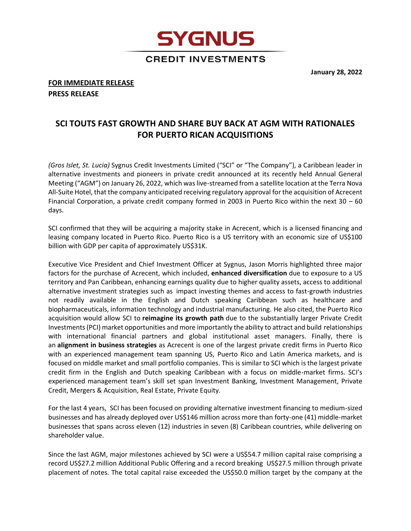**January 28, 2022**

## **FOR IMMEDIATE RELEASE PRESS RELEASE**

## **SCI TOUTS FAST GROWTH AND SHARE BUY BACK AT AGM WITH RATIONALES FOR PUERTO RICAN ACQUISITIONS**

**SYGNUS** 

**CREDIT INVESTMENTS** 

*(Gros Islet, St. Lucia)* Sygnus Credit Investments Limited ("SCI" or "The Company"), a Caribbean leader in alternative investments and pioneers in private credit announced at its recently held Annual General Meeting ("AGM") on January 26, 2022, which was live-streamed from a satellite location at the Terra Nova All-Suite Hotel, that the company anticipated receiving regulatory approval for the acquisition of Acrecent Financial Corporation, a private credit company formed in 2003 in Puerto Rico within the next 30 – 60 days.

SCI confirmed that they will be acquiring a majority stake in Acrecent, which is a licensed financing and leasing company located in Puerto Rico. Puerto Rico is a US territory with an economic size of US\$100 billion with GDP per capita of approximately US\$31K.

Executive Vice President and Chief Investment Officer at Sygnus, Jason Morris highlighted three major factors for the purchase of Acrecent, which included, **enhanced diversification** due to exposure to a US territory and Pan Caribbean, enhancing earnings quality due to higher quality assets, access to additional alternative investment strategies such as impact investing themes and access to fast-growth industries not readily available in the English and Dutch speaking Caribbean such as healthcare and biopharmaceuticals, information technology and industrial manufacturing. He also cited, the Puerto Rico acquisition would allow SCI to **reimagine its growth path** due to the substantially larger Private Credit Investments (PCI) market opportunities and more importantly the ability to attract and build relationships with international financial partners and global institutional asset managers. Finally, there is an **alignment in business strategies** as Acrecent is one of the largest private credit firms in Puerto Rico with an experienced management team spanning US, Puerto Rico and Latin America markets, and is focused on middle market and small portfolio companies. This is similar to SCI which is the largest private credit firm in the English and Dutch speaking Caribbean with a focus on middle-market firms. SCI's experienced management team's skill set span Investment Banking, Investment Management, Private Credit, Mergers & Acquisition, Real Estate, Private Equity.

For the last 4 years, SCI has been focused on providing alternative investment financing to medium-sized businesses and has already deployed over US\$146 million across more than forty-one (41) middle-market businesses that spans across eleven (12) industries in seven (8) Caribbean countries, while delivering on shareholder value.

Since the last AGM, major milestones achieved by SCI were a US\$54.7 million capital raise comprising a record US\$27.2 million Additional Public Offering and a record breaking US\$27.5 million through private placement of notes. The total capital raise exceeded the US\$50.0 million target by the company at the